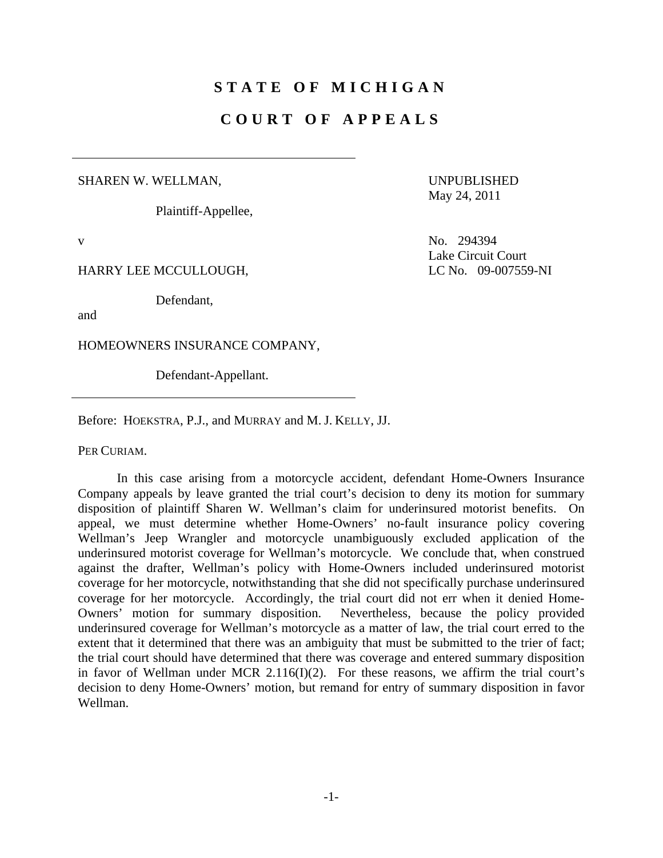# **STATE OF MICHIGAN**

## **COURT OF APPEALS**

#### SHAREN W. WELLMAN,

Plaintiff-Appellee,

UNPUBLISHED May 24, 2011

Lake Circuit Court

v No. 294394

HARRY LEE MCCULLOUGH, LC No. 09-007559-NI

Defendant,

and

HOMEOWNERS INSURANCE COMPANY,

Defendant-Appellant.

Before: HOEKSTRA, P.J., and MURRAY and M. J. KELLY, JJ.

PER CURIAM.

 In this case arising from a motorcycle accident, defendant Home-Owners Insurance Company appeals by leave granted the trial court's decision to deny its motion for summary disposition of plaintiff Sharen W. Wellman's claim for underinsured motorist benefits. On appeal, we must determine whether Home-Owners' no-fault insurance policy covering Wellman's Jeep Wrangler and motorcycle unambiguously excluded application of the underinsured motorist coverage for Wellman's motorcycle. We conclude that, when construed against the drafter, Wellman's policy with Home-Owners included underinsured motorist coverage for her motorcycle, notwithstanding that she did not specifically purchase underinsured coverage for her motorcycle. Accordingly, the trial court did not err when it denied Home-Owners' motion for summary disposition. Nevertheless, because the policy provided underinsured coverage for Wellman's motorcycle as a matter of law, the trial court erred to the extent that it determined that there was an ambiguity that must be submitted to the trier of fact; the trial court should have determined that there was coverage and entered summary disposition in favor of Wellman under MCR 2.116(I)(2). For these reasons, we affirm the trial court's decision to deny Home-Owners' motion, but remand for entry of summary disposition in favor Wellman.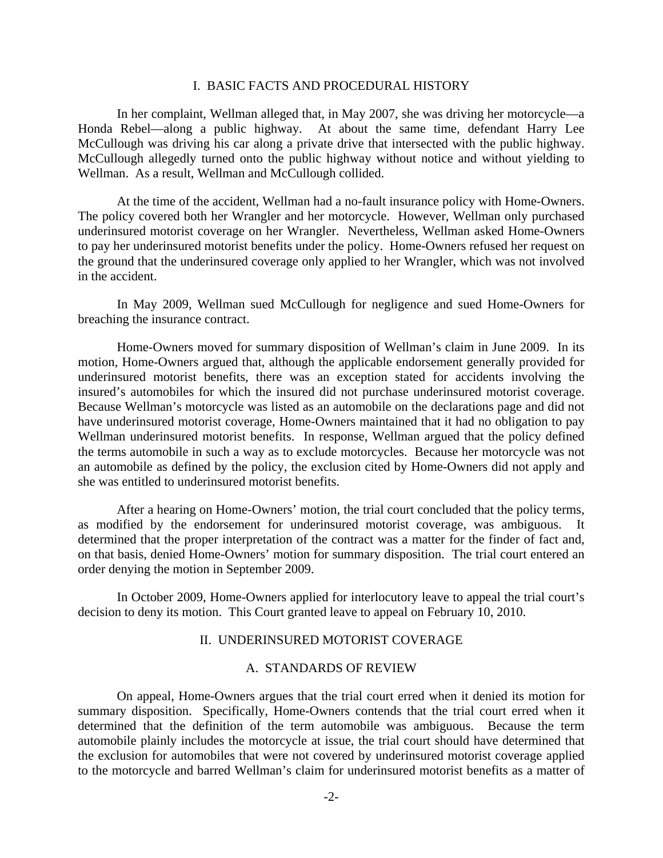#### I. BASIC FACTS AND PROCEDURAL HISTORY

 In her complaint, Wellman alleged that, in May 2007, she was driving her motorcycle—a Honda Rebel—along a public highway. At about the same time, defendant Harry Lee McCullough was driving his car along a private drive that intersected with the public highway. McCullough allegedly turned onto the public highway without notice and without yielding to Wellman. As a result, Wellman and McCullough collided.

 At the time of the accident, Wellman had a no-fault insurance policy with Home-Owners. The policy covered both her Wrangler and her motorcycle. However, Wellman only purchased underinsured motorist coverage on her Wrangler. Nevertheless, Wellman asked Home-Owners to pay her underinsured motorist benefits under the policy. Home-Owners refused her request on the ground that the underinsured coverage only applied to her Wrangler, which was not involved in the accident.

 In May 2009, Wellman sued McCullough for negligence and sued Home-Owners for breaching the insurance contract.

 Home-Owners moved for summary disposition of Wellman's claim in June 2009. In its motion, Home-Owners argued that, although the applicable endorsement generally provided for underinsured motorist benefits, there was an exception stated for accidents involving the insured's automobiles for which the insured did not purchase underinsured motorist coverage. Because Wellman's motorcycle was listed as an automobile on the declarations page and did not have underinsured motorist coverage, Home-Owners maintained that it had no obligation to pay Wellman underinsured motorist benefits. In response, Wellman argued that the policy defined the terms automobile in such a way as to exclude motorcycles. Because her motorcycle was not an automobile as defined by the policy, the exclusion cited by Home-Owners did not apply and she was entitled to underinsured motorist benefits.

 After a hearing on Home-Owners' motion, the trial court concluded that the policy terms, as modified by the endorsement for underinsured motorist coverage, was ambiguous. It determined that the proper interpretation of the contract was a matter for the finder of fact and, on that basis, denied Home-Owners' motion for summary disposition. The trial court entered an order denying the motion in September 2009.

 In October 2009, Home-Owners applied for interlocutory leave to appeal the trial court's decision to deny its motion. This Court granted leave to appeal on February 10, 2010.

### II. UNDERINSURED MOTORIST COVERAGE

#### A. STANDARDS OF REVIEW

 On appeal, Home-Owners argues that the trial court erred when it denied its motion for summary disposition. Specifically, Home-Owners contends that the trial court erred when it determined that the definition of the term automobile was ambiguous. Because the term automobile plainly includes the motorcycle at issue, the trial court should have determined that the exclusion for automobiles that were not covered by underinsured motorist coverage applied to the motorcycle and barred Wellman's claim for underinsured motorist benefits as a matter of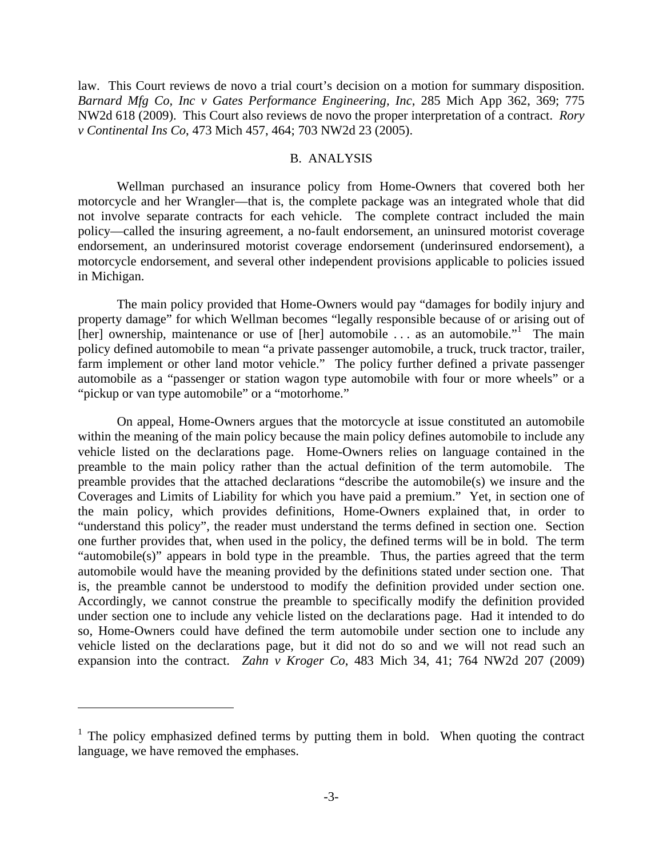law. This Court reviews de novo a trial court's decision on a motion for summary disposition. *Barnard Mfg Co, Inc v Gates Performance Engineering, Inc*, 285 Mich App 362, 369; 775 NW2d 618 (2009). This Court also reviews de novo the proper interpretation of a contract. *Rory v Continental Ins Co*, 473 Mich 457, 464; 703 NW2d 23 (2005).

#### B. ANALYSIS

 Wellman purchased an insurance policy from Home-Owners that covered both her motorcycle and her Wrangler—that is, the complete package was an integrated whole that did not involve separate contracts for each vehicle. The complete contract included the main policy—called the insuring agreement, a no-fault endorsement, an uninsured motorist coverage endorsement, an underinsured motorist coverage endorsement (underinsured endorsement), a motorcycle endorsement, and several other independent provisions applicable to policies issued in Michigan.

 The main policy provided that Home-Owners would pay "damages for bodily injury and property damage" for which Wellman becomes "legally responsible because of or arising out of  $[her]$  ownership, maintenance or use of  $[her]$  automobile ... as an automobile." The main policy defined automobile to mean "a private passenger automobile, a truck, truck tractor, trailer, farm implement or other land motor vehicle." The policy further defined a private passenger automobile as a "passenger or station wagon type automobile with four or more wheels" or a "pickup or van type automobile" or a "motorhome."

 On appeal, Home-Owners argues that the motorcycle at issue constituted an automobile within the meaning of the main policy because the main policy defines automobile to include any vehicle listed on the declarations page. Home-Owners relies on language contained in the preamble to the main policy rather than the actual definition of the term automobile. The preamble provides that the attached declarations "describe the automobile(s) we insure and the Coverages and Limits of Liability for which you have paid a premium." Yet, in section one of the main policy, which provides definitions, Home-Owners explained that, in order to "understand this policy", the reader must understand the terms defined in section one. Section one further provides that, when used in the policy, the defined terms will be in bold. The term "automobile(s)" appears in bold type in the preamble. Thus, the parties agreed that the term automobile would have the meaning provided by the definitions stated under section one. That is, the preamble cannot be understood to modify the definition provided under section one. Accordingly, we cannot construe the preamble to specifically modify the definition provided under section one to include any vehicle listed on the declarations page. Had it intended to do so, Home-Owners could have defined the term automobile under section one to include any vehicle listed on the declarations page, but it did not do so and we will not read such an expansion into the contract. *Zahn v Kroger Co*, 483 Mich 34, 41; 764 NW2d 207 (2009)

 $\overline{a}$ 

 $1$  The policy emphasized defined terms by putting them in bold. When quoting the contract language, we have removed the emphases.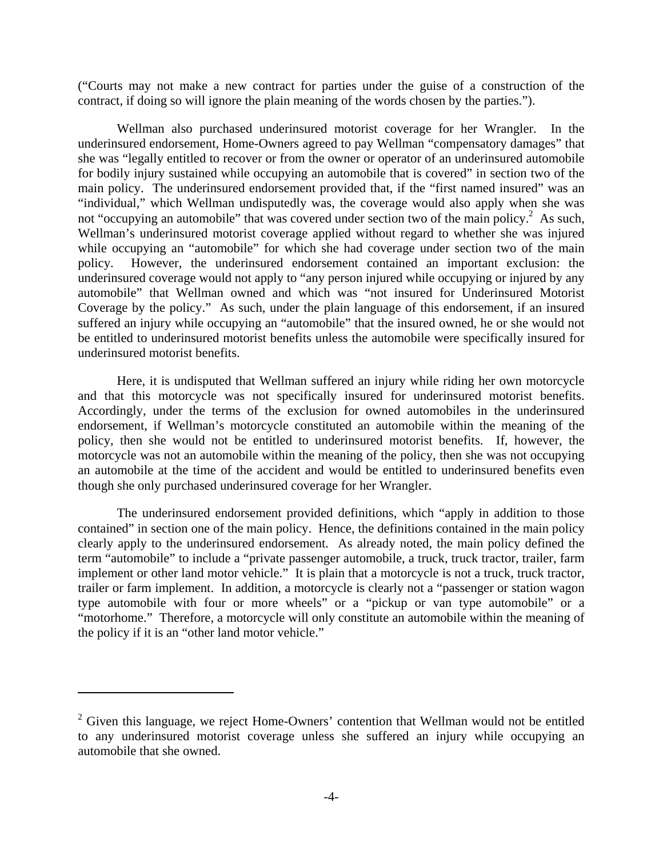("Courts may not make a new contract for parties under the guise of a construction of the contract, if doing so will ignore the plain meaning of the words chosen by the parties.").

 Wellman also purchased underinsured motorist coverage for her Wrangler. In the underinsured endorsement, Home-Owners agreed to pay Wellman "compensatory damages" that she was "legally entitled to recover or from the owner or operator of an underinsured automobile for bodily injury sustained while occupying an automobile that is covered" in section two of the main policy. The underinsured endorsement provided that, if the "first named insured" was an "individual," which Wellman undisputedly was, the coverage would also apply when she was not "occupying an automobile" that was covered under section two of the main policy.<sup>2</sup> As such, Wellman's underinsured motorist coverage applied without regard to whether she was injured while occupying an "automobile" for which she had coverage under section two of the main policy. However, the underinsured endorsement contained an important exclusion: the underinsured coverage would not apply to "any person injured while occupying or injured by any automobile" that Wellman owned and which was "not insured for Underinsured Motorist Coverage by the policy." As such, under the plain language of this endorsement, if an insured suffered an injury while occupying an "automobile" that the insured owned, he or she would not be entitled to underinsured motorist benefits unless the automobile were specifically insured for underinsured motorist benefits.

 Here, it is undisputed that Wellman suffered an injury while riding her own motorcycle and that this motorcycle was not specifically insured for underinsured motorist benefits. Accordingly, under the terms of the exclusion for owned automobiles in the underinsured endorsement, if Wellman's motorcycle constituted an automobile within the meaning of the policy, then she would not be entitled to underinsured motorist benefits. If, however, the motorcycle was not an automobile within the meaning of the policy, then she was not occupying an automobile at the time of the accident and would be entitled to underinsured benefits even though she only purchased underinsured coverage for her Wrangler.

 The underinsured endorsement provided definitions, which "apply in addition to those contained" in section one of the main policy. Hence, the definitions contained in the main policy clearly apply to the underinsured endorsement. As already noted, the main policy defined the term "automobile" to include a "private passenger automobile, a truck, truck tractor, trailer, farm implement or other land motor vehicle." It is plain that a motorcycle is not a truck, truck tractor, trailer or farm implement. In addition, a motorcycle is clearly not a "passenger or station wagon type automobile with four or more wheels" or a "pickup or van type automobile" or a "motorhome." Therefore, a motorcycle will only constitute an automobile within the meaning of the policy if it is an "other land motor vehicle."

1

 $2$  Given this language, we reject Home-Owners' contention that Wellman would not be entitled to any underinsured motorist coverage unless she suffered an injury while occupying an automobile that she owned.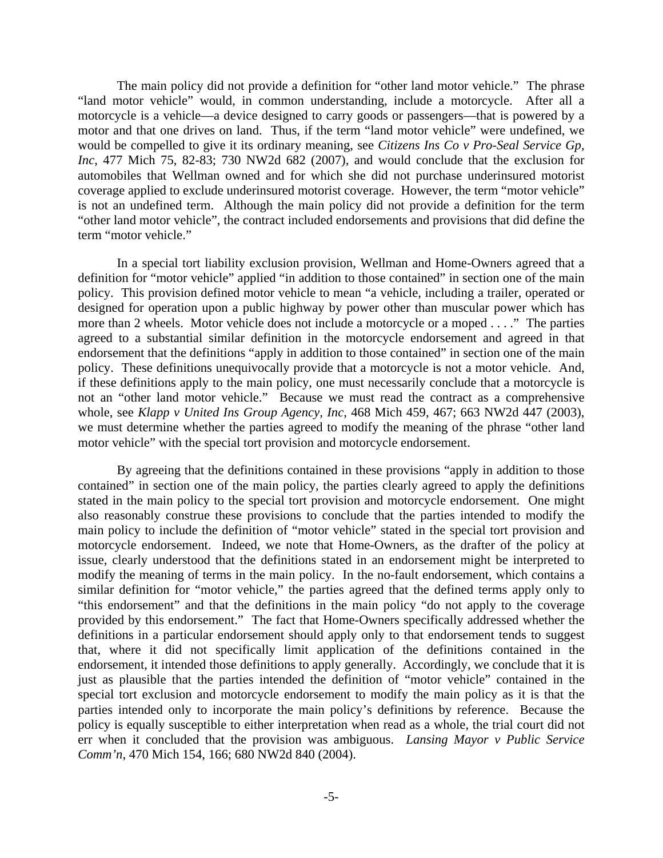The main policy did not provide a definition for "other land motor vehicle." The phrase "land motor vehicle" would, in common understanding, include a motorcycle. After all a motorcycle is a vehicle—a device designed to carry goods or passengers—that is powered by a motor and that one drives on land. Thus, if the term "land motor vehicle" were undefined, we would be compelled to give it its ordinary meaning, see *Citizens Ins Co v Pro-Seal Service Gp, Inc*, 477 Mich 75, 82-83; 730 NW2d 682 (2007), and would conclude that the exclusion for automobiles that Wellman owned and for which she did not purchase underinsured motorist coverage applied to exclude underinsured motorist coverage. However, the term "motor vehicle" is not an undefined term. Although the main policy did not provide a definition for the term "other land motor vehicle", the contract included endorsements and provisions that did define the term "motor vehicle."

 In a special tort liability exclusion provision, Wellman and Home-Owners agreed that a definition for "motor vehicle" applied "in addition to those contained" in section one of the main policy. This provision defined motor vehicle to mean "a vehicle, including a trailer, operated or designed for operation upon a public highway by power other than muscular power which has more than 2 wheels. Motor vehicle does not include a motorcycle or a moped . . . ." The parties agreed to a substantial similar definition in the motorcycle endorsement and agreed in that endorsement that the definitions "apply in addition to those contained" in section one of the main policy. These definitions unequivocally provide that a motorcycle is not a motor vehicle. And, if these definitions apply to the main policy, one must necessarily conclude that a motorcycle is not an "other land motor vehicle." Because we must read the contract as a comprehensive whole, see *Klapp v United Ins Group Agency, Inc*, 468 Mich 459, 467; 663 NW2d 447 (2003), we must determine whether the parties agreed to modify the meaning of the phrase "other land motor vehicle" with the special tort provision and motorcycle endorsement.

 By agreeing that the definitions contained in these provisions "apply in addition to those contained" in section one of the main policy, the parties clearly agreed to apply the definitions stated in the main policy to the special tort provision and motorcycle endorsement. One might also reasonably construe these provisions to conclude that the parties intended to modify the main policy to include the definition of "motor vehicle" stated in the special tort provision and motorcycle endorsement. Indeed, we note that Home-Owners, as the drafter of the policy at issue, clearly understood that the definitions stated in an endorsement might be interpreted to modify the meaning of terms in the main policy. In the no-fault endorsement, which contains a similar definition for "motor vehicle," the parties agreed that the defined terms apply only to "this endorsement" and that the definitions in the main policy "do not apply to the coverage provided by this endorsement." The fact that Home-Owners specifically addressed whether the definitions in a particular endorsement should apply only to that endorsement tends to suggest that, where it did not specifically limit application of the definitions contained in the endorsement, it intended those definitions to apply generally. Accordingly, we conclude that it is just as plausible that the parties intended the definition of "motor vehicle" contained in the special tort exclusion and motorcycle endorsement to modify the main policy as it is that the parties intended only to incorporate the main policy's definitions by reference. Because the policy is equally susceptible to either interpretation when read as a whole, the trial court did not err when it concluded that the provision was ambiguous. *Lansing Mayor v Public Service Comm'n*, 470 Mich 154, 166; 680 NW2d 840 (2004).